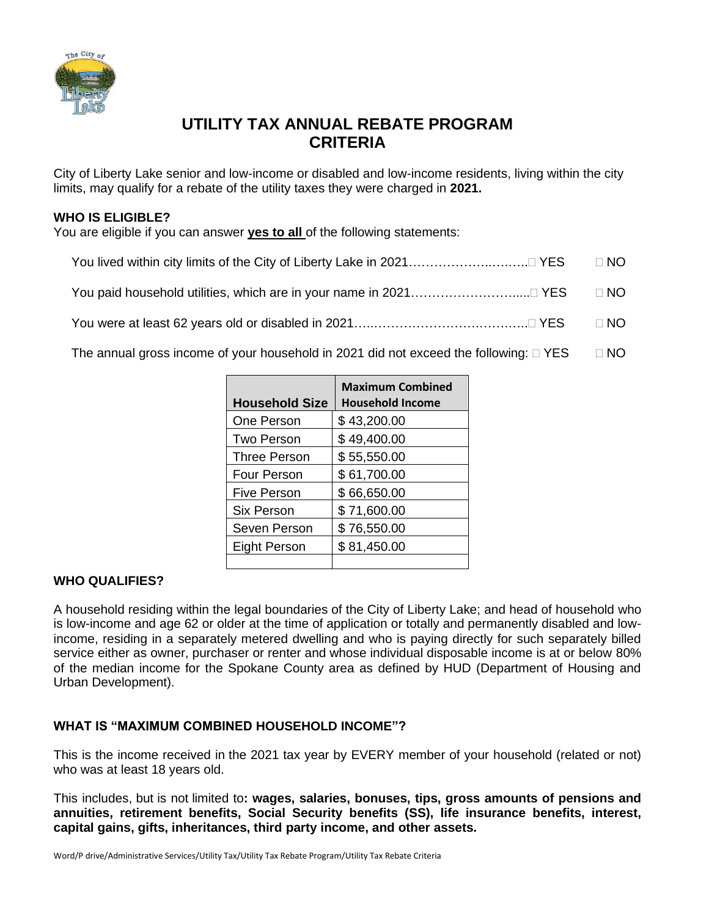

# **UTILITY TAX ANNUAL REBATE PROGRAM CRITERIA**

City of Liberty Lake senior and low-income or disabled and low-income residents, living within the city limits, may qualify for a rebate of the utility taxes they were charged in **2021.**

## **WHO IS ELIGIBLE?**

You are eligible if you can answer **yes to all** of the following statements:

|  | $\Box$ NO |
|--|-----------|
|  |           |

You were at least 62 years old or disabled in 2021…..…………………….…….….. YES NO

The annual gross income of your household in 2021 did not exceed the following:  $\Box$  YES  $\Box$  NO

| <b>Household Size</b> | <b>Maximum Combined</b><br><b>Household Income</b> |
|-----------------------|----------------------------------------------------|
| One Person            | \$43,200.00                                        |
| <b>Two Person</b>     | \$49,400.00                                        |
| <b>Three Person</b>   | \$55,550.00                                        |
| <b>Four Person</b>    | \$61,700.00                                        |
| <b>Five Person</b>    | \$66,650.00                                        |
| Six Person            | \$71,600.00                                        |
| Seven Person          | \$76,550.00                                        |
| Eight Person          | \$81,450.00                                        |
|                       |                                                    |

# **WHO QUALIFIES?**

A household residing within the legal boundaries of the City of Liberty Lake; and head of household who is low-income and age 62 or older at the time of application or totally and permanently disabled and lowincome, residing in a separately metered dwelling and who is paying directly for such separately billed service either as owner, purchaser or renter and whose individual disposable income is at or below 80% of the median income for the Spokane County area as defined by HUD (Department of Housing and Urban Development).

# **WHAT IS "MAXIMUM COMBINED HOUSEHOLD INCOME"?**

This is the income received in the 2021 tax year by EVERY member of your household (related or not) who was at least 18 years old.

This includes, but is not limited to**: wages, salaries, bonuses, tips, gross amounts of pensions and annuities, retirement benefits, Social Security benefits (SS), life insurance benefits, interest, capital gains, gifts, inheritances, third party income, and other assets.**